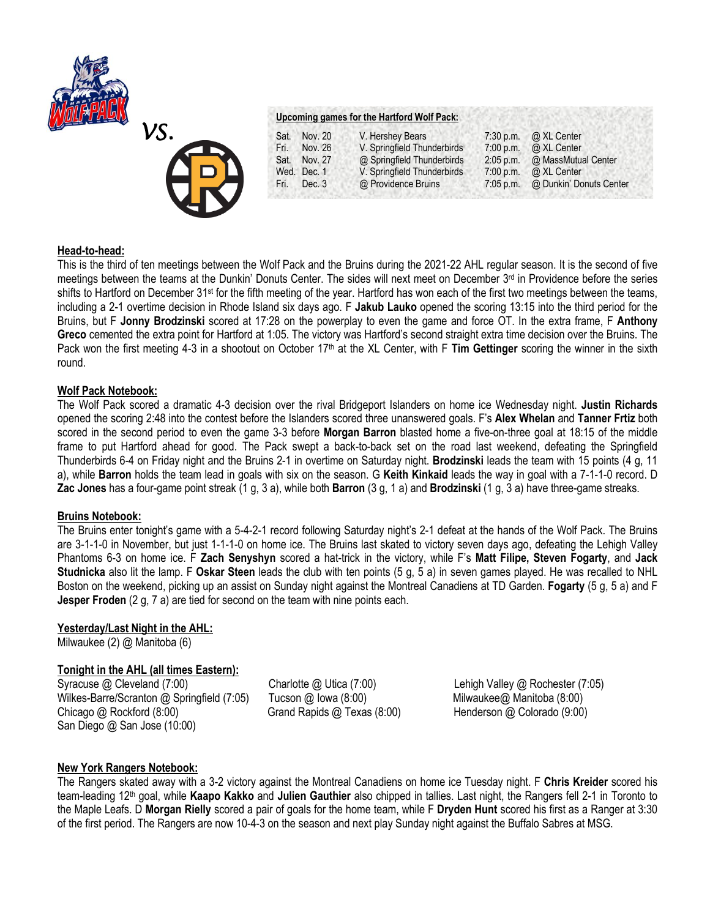



# **Upcoming games for the Hartford Wolf Pack:**

| Sat.   | Nov. 20     | V. Hershey Bears            | $7:30$ p.m. | @ XL Center             |
|--------|-------------|-----------------------------|-------------|-------------------------|
| Fri. I | Nov. 26     | V. Springfield Thunderbirds | 7:00 p.m.   | @ XL Center             |
| Sat.   | Nov. 27     | @ Springfield Thunderbirds  | $2:05$ p.m. | @ MassMutual Center     |
|        | Wed. Dec. 1 | V. Springfield Thunderbirds | 7:00 p.m.   | @ XL Center             |
| Fri. I | Dec. 3      | @ Providence Bruins         | $7:05$ p.m. | @ Dunkin' Donuts Center |

#### **Head-to-head:**

This is the third of ten meetings between the Wolf Pack and the Bruins during the 2021-22 AHL regular season. It is the second of five meetings between the teams at the Dunkin' Donuts Center. The sides will next meet on December 3rd in Providence before the series shifts to Hartford on December 31<sup>st</sup> for the fifth meeting of the year. Hartford has won each of the first two meetings between the teams, including a 2-1 overtime decision in Rhode Island six days ago. F **Jakub Lauko** opened the scoring 13:15 into the third period for the Bruins, but F **Jonny Brodzinski** scored at 17:28 on the powerplay to even the game and force OT. In the extra frame, F **Anthony Greco** cemented the extra point for Hartford at 1:05. The victory was Hartford's second straight extra time decision over the Bruins. The Pack won the first meeting 4-3 in a shootout on October 17th at the XL Center, with F **Tim Gettinger** scoring the winner in the sixth round.

#### **Wolf Pack Notebook:**

The Wolf Pack scored a dramatic 4-3 decision over the rival Bridgeport Islanders on home ice Wednesday night. **Justin Richards**  opened the scoring 2:48 into the contest before the Islanders scored three unanswered goals. F's **Alex Whelan** and **Tanner Frtiz** both scored in the second period to even the game 3-3 before **Morgan Barron** blasted home a five-on-three goal at 18:15 of the middle frame to put Hartford ahead for good. The Pack swept a back-to-back set on the road last weekend, defeating the Springfield Thunderbirds 6-4 on Friday night and the Bruins 2-1 in overtime on Saturday night. **Brodzinski** leads the team with 15 points (4 g, 11 a), while **Barron** holds the team lead in goals with six on the season. G **Keith Kinkaid** leads the way in goal with a 7-1-1-0 record. D **Zac Jones** has a four-game point streak (1 g, 3 a), while both **Barron** (3 g, 1 a) and **Brodzinski** (1 g, 3 a) have three-game streaks.

### **Bruins Notebook:**

The Bruins enter tonight's game with a 5-4-2-1 record following Saturday night's 2-1 defeat at the hands of the Wolf Pack. The Bruins are 3-1-1-0 in November, but just 1-1-1-0 on home ice. The Bruins last skated to victory seven days ago, defeating the Lehigh Valley Phantoms 6-3 on home ice. F **Zach Senyshyn** scored a hat-trick in the victory, while F's **Matt Filipe, Steven Fogarty**, and **Jack Studnicka** also lit the lamp. F **Oskar Steen** leads the club with ten points (5 g, 5 a) in seven games played. He was recalled to NHL Boston on the weekend, picking up an assist on Sunday night against the Montreal Canadiens at TD Garden. **Fogarty** (5 g, 5 a) and F **Jesper Froden** (2 g, 7 a) are tied for second on the team with nine points each.

## **Yesterday/Last Night in the AHL:**

Milwaukee (2) @ Manitoba (6)

## **Tonight in the AHL (all times Eastern):**

Syracuse @ Cleveland (7:00)Charlotte @ Utica (7:00) Lehigh Valley @ Rochester (7:05) Wilkes-Barre/Scranton @ Springfield (7:05) **Tucson @ Iowa (8:00)** Milwaukee@ Manitoba (8:00) Chicago @ Rockford (8:00) Grand Rapids @ Texas (8:00) Henderson @ Colorado (9:00) San Diego @ San Jose (10:00)

### **New York Rangers Notebook:**

The Rangers skated away with a 3-2 victory against the Montreal Canadiens on home ice Tuesday night. F **Chris Kreider** scored his team-leading 12th goal, while **Kaapo Kakko** and **Julien Gauthier** also chipped in tallies. Last night, the Rangers fell 2-1 in Toronto to the Maple Leafs. D **Morgan Rielly** scored a pair of goals for the home team, while F **Dryden Hunt** scored his first as a Ranger at 3:30 of the first period. The Rangers are now 10-4-3 on the season and next play Sunday night against the Buffalo Sabres at MSG.